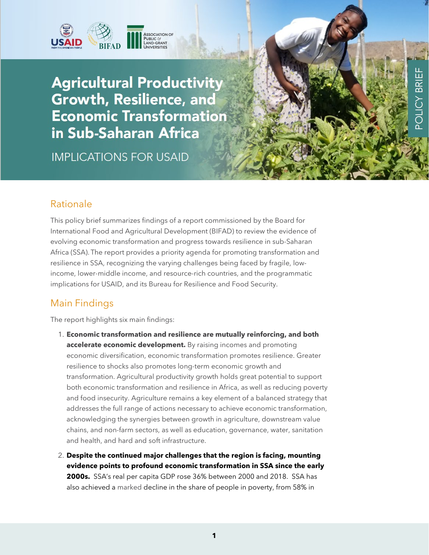

**Agricultural Productivity** Growth, Resilience, and **Economic Transformation** in Sub-Saharan Africa

**IMPLICATIONS FOR USAID** 

### Rationale

This policy brief summarizes findings of a report commissioned by the Board for International Food and Agricultural Development (BIFAD) to review the evidence of evolving economic transformation and progress towards resilience in sub-Saharan Africa (SSA). The report provides a priority agenda for promoting transformation and resilience in SSA, recognizing the varying challenges being faced by fragile, lowincome, lower-middle income, and resource-rich countries, and the programmatic implications for USAID, and its Bureau for Resilience and Food Security.

ш

BRI

# Main Findings

The report highlights six main findings:

- 1. **Economic transformation and resilience are mutually reinforcing, and both accelerate economic development.** By raising incomes and promoting economic diversification, economic transformation promotes resilience. Greater resilience to shocks also promotes long-term economic growth and transformation. Agricultural productivity growth holds great potential to support both economic transformation and resilience in Africa, as well as reducing poverty and food insecurity. Agriculture remains a key element of a balanced strategy that addresses the full range of actions necessary to achieve economic transformation, acknowledging the synergies between growth in agriculture, downstream value chains, and non-farm sectors, as well as education, governance, water, sanitation and health, and hard and soft infrastructure.
- 2. **Despite the continued major challenges that the region is facing, mounting evidence points to profound economic transformation in SSA since the early 2000s.** SSA's real per capita GDP rose 36% between 2000 and 2018. SSA has also achieved a marked decline in the share of people in poverty, from 58% in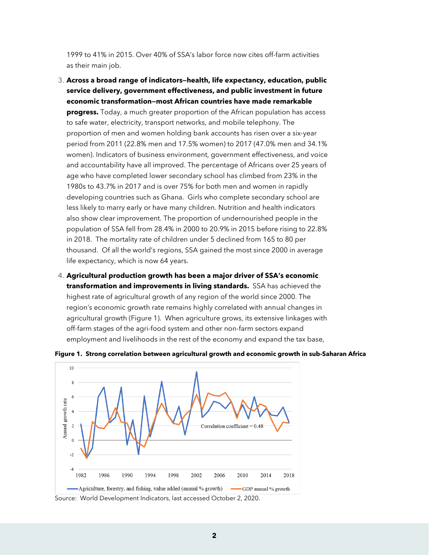1999 to 41% in 2015. Over 40% of SSA's labor force now cites off-farm activities as their main job.

- 3. **Across a broad range of indicators—health, life expectancy, education, public service delivery, government effectiveness, and public investment in future economic transformation—most African countries have made remarkable progress.** Today, a much greater proportion of the African population has access to safe water, electricity, transport networks, and mobile telephony. The proportion of men and women holding bank accounts has risen over a six-year period from 2011 (22.8% men and 17.5% women) to 2017 (47.0% men and 34.1% women). Indicators of business environment, government effectiveness, and voice and accountability have all improved. The percentage of Africans over 25 years of age who have completed lower secondary school has climbed from 23% in the 1980s to 43.7% in 2017 and is over 75% for both men and women in rapidly developing countries such as Ghana. Girls who complete secondary school are less likely to marry early or have many children. Nutrition and health indicators also show clear improvement. The proportion of undernourished people in the population of SSA fell from 28.4% in 2000 to 20.9% in 2015 before rising to 22.8% in 2018. The mortality rate of children under 5 declined from 165 to 80 per thousand. Of all the world's regions, SSA gained the most since 2000 in average life expectancy, which is now 64 years.
- 4. **Agricultural production growth has been a major driver of SSA's economic transformation and improvements in living standards.** SSA has achieved the highest rate of agricultural growth of any region of the world since 2000. The region's economic growth rate remains highly correlated with annual changes in agricultural growth (Figure 1). When agriculture grows, its extensive linkages with off-farm stages of the agri-food system and other non-farm sectors expand employment and livelihoods in the rest of the economy and expand the tax base,



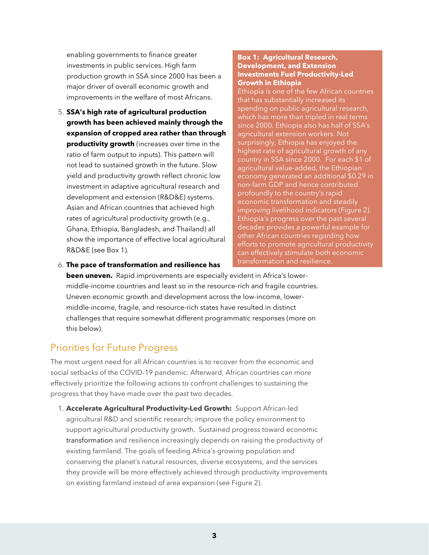enabling governments to finance greater investments in public services. High farm production growth in SSA since 2000 has been a major driver of overall economic growth and improvements in the welfare of most Africans.

5. **SSA's high rate of agricultural production growth has been achieved mainly through the expansion of cropped area rather than through productivity growth** (increases over time in the ratio of farm output to inputs). This pattern will not lead to sustained growth in the future. Slow yield and productivity growth reflect chronic low investment in adaptive agricultural research and development and extension (R&D&E) systems. Asian and African countries that achieved high rates of agricultural productivity growth (e.g., Ghana, Ethiopia, Bangladesh, and Thailand) all show the importance of effective local agricultural R&D&E (see Box 1).

#### **Box 1: Agricultural Research, Development, and Extension Investments Fuel Productivity-Led Growth in Ethiopia**

Ethiopia is one of the few African countries that has substantially increased its spending on public agricultural research, which has more than tripled in real terms since 2000. Ethiopia also has half of SSA's agricultural extension workers. Not surprisingly, Ethiopia has enjoyed the highest rate of agricultural growth of any country in SSA since 2000. For each \$1 of agricultural value-added, the Ethiopian economy generated an additional \$0.29 in non-farm GDP and hence contributed profoundly to the country's rapid economic transformation and steadily improving livelihood indicators (Figure 2). Ethiopia's progress over the past several decades provides a powerful example for other African countries regarding how efforts to promote agricultural productivity can effectively stimulate both economic transformation and resilience.

6. **The pace of transformation and resilience has**

**been uneven.** Rapid improvements are especially evident in Africa's lowermiddle-income countries and least so in the resource-rich and fragile countries. Uneven economic growth and development across the low-income, lowermiddle-income, fragile, and resource-rich states have resulted in distinct challenges that require somewhat different programmatic responses (more on this below).

# Priorities for Future Progress

The most urgent need for all African countries is to recover from the economic and social setbacks of the COVID-19 pandemic. Afterward, African countries can more effectively prioritize the following actions to confront challenges to sustaining the progress that they have made over the past two decades.

1. **Accelerate Agricultural Productivity-Led Growth:** Support African-led agricultural R&D and scientific research; improve the policy environment to support agricultural productivity growth. Sustained progress toward economic transformation and resilience increasingly depends on raising the productivity of existing farmland. The goals of feeding Africa's growing population and conserving the planet's natural resources, diverse ecosystems, and the services they provide will be more effectively achieved through productivity improvements on existing farmland instead of area expansion (see Figure 2).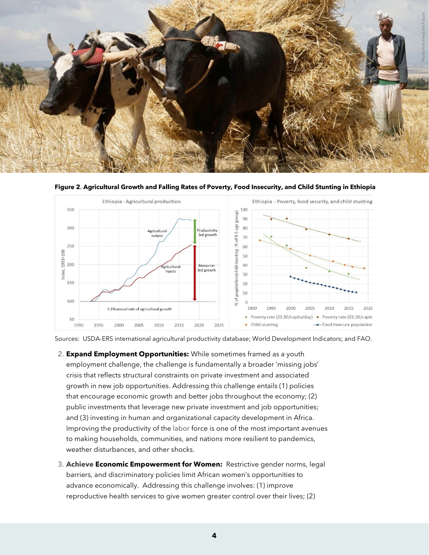



**Figure 2. Agricultural Growth and Falling Rates of Poverty, Food Insecurity, and Child Stunting in Ethiopia** 

Sources: USDA-ERS international agricultural productivity database; World Development Indicators; and FAO.

- 2. **Expand Employment Opportunities:** While sometimes framed as a youth employment challenge, the challenge is fundamentally a broader 'missing jobs' crisis that reflects structural constraints on private investment and associated growth in new job opportunities. Addressing this challenge entails (1) policies that encourage economic growth and better jobs throughout the economy; (2) public investments that leverage new private investment and job opportunities; and (3) investing in human and organizational capacity development in Africa. Improving the productivity of the labor force is one of the most important avenues to making households, communities, and nations more resilient to pandemics, weather disturbances, and other shocks.
- 3. **Achieve Economic Empowerment for Women:** Restrictive gender norms, legal barriers, and discriminatory policies limit African women's opportunities to advance economically. Addressing this challenge involves: (1) improve reproductive health services to give women greater control over their lives; (2)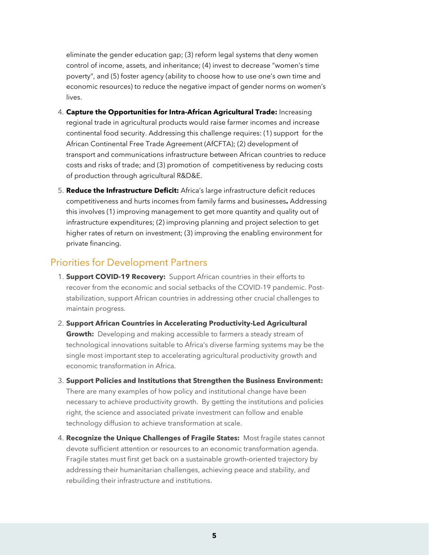eliminate the gender education gap; (3) reform legal systems that deny women control of income, assets, and inheritance; (4) invest to decrease "women's time poverty", and (5) foster agency (ability to choose how to use one's own time and economic resources) to reduce the negative impact of gender norms on women's lives.

- 4. **Capture the Opportunities for Intra-African Agricultural Trade:** Increasing regional trade in agricultural products would raise farmer incomes and increase continental food security. Addressing this challenge requires: (1) support for the African Continental Free Trade Agreement (AfCFTA); (2) development of transport and communications infrastructure between African countries to reduce costs and risks of trade; and (3) promotion of competitiveness by reducing costs of production through agricultural R&D&E.
- 5. **Reduce the Infrastructure Deficit:** Africa's large infrastructure deficit reduces competitiveness and hurts incomes from family farms and businesses**.** Addressing this involves (1) improving management to get more quantity and quality out of infrastructure expenditures; (2) improving planning and project selection to get higher rates of return on investment; (3) improving the enabling environment for private financing.

### Priorities for Development Partners

- 1. **Support COVID-19 Recovery:** Support African countries in their efforts to recover from the economic and social setbacks of the COVID-19 pandemic. Poststabilization, support African countries in addressing other crucial challenges to maintain progress.
- 2. **Support African Countries in Accelerating Productivity-Led Agricultural Growth:** Developing and making accessible to farmers a steady stream of technological innovations suitable to Africa's diverse farming systems may be the single most important step to accelerating agricultural productivity growth and economic transformation in Africa.
- 3. **Support Policies and Institutions that Strengthen the Business Environment:**  There are many examples of how policy and institutional change have been necessary to achieve productivity growth. By getting the institutions and policies right, the science and associated private investment can follow and enable technology diffusion to achieve transformation at scale.
- 4. **Recognize the Unique Challenges of Fragile States:** Most fragile states cannot devote sufficient attention or resources to an economic transformation agenda. Fragile states must first get back on a sustainable growth-oriented trajectory by addressing their humanitarian challenges, achieving peace and stability, and rebuilding their infrastructure and institutions.